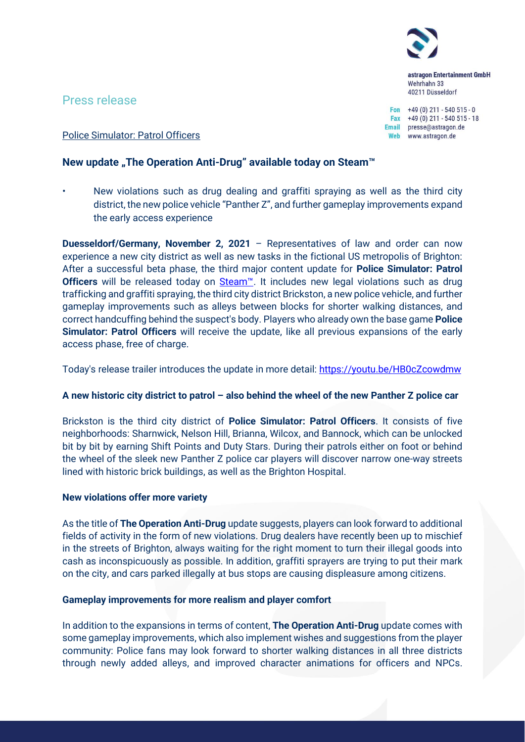astragon Entertainment GmbH Wehrhahn 33 40211 Düsseldorf

Fon  $+49(0)$  211 - 540 515 - 0 Fax  $+49(0)$  211 - 540 515 - 18 Email presse@astragon.de Web www.astragon.de

# Press release

Police Simulator: Patrol Officers

# **New update "The Operation Anti-Drug" available today on Steam™**

• New violations such as drug dealing and graffiti spraying as well as the third city district, the new police vehicle "Panther Z", and further gameplay improvements expand the early access experience

**Duesseldorf/Germany, November 2, 2021** – Representatives of law and order can now experience a new city district as well as new tasks in the fictional US metropolis of Brighton: After a successful beta phase, the third major content update for **Police Simulator: Patrol Officers** will be released today on [Steam™](https://store.steampowered.com/app/997010/Police_Simulator_Patrol_Officers/). It includes new legal violations such as drug trafficking and graffiti spraying, the third city district Brickston, a new police vehicle, and further gameplay improvements such as alleys between blocks for shorter walking distances, and correct handcuffing behind the suspect's body. Players who already own the base game **Police Simulator: Patrol Officers** will receive the update, like all previous expansions of the early access phase, free of charge.

Today's release trailer introduces the update in more detail: <https://youtu.be/HB0cZcowdmw>

## **A new historic city district to patrol – also behind the wheel of the new Panther Z police car**

Brickston is the third city district of **Police Simulator: Patrol Officers**. It consists of five neighborhoods: Sharnwick, Nelson Hill, Brianna, Wilcox, and Bannock, which can be unlocked bit by bit by earning Shift Points and Duty Stars. During their patrols either on foot or behind the wheel of the sleek new Panther Z police car players will discover narrow one-way streets lined with historic brick buildings, as well as the Brighton Hospital.

## **New violations offer more variety**

As the title of **The Operation Anti-Drug** update suggests, players can look forward to additional fields of activity in the form of new violations. Drug dealers have recently been up to mischief in the streets of Brighton, always waiting for the right moment to turn their illegal goods into cash as inconspicuously as possible. In addition, graffiti sprayers are trying to put their mark on the city, and cars parked illegally at bus stops are causing displeasure among citizens.

## **Gameplay improvements for more realism and player comfort**

In addition to the expansions in terms of content, **The Operation Anti-Drug** update comes with some gameplay improvements, which also implement wishes and suggestions from the player community: Police fans may look forward to shorter walking distances in all three districts through newly added alleys, and improved character animations for officers and NPCs.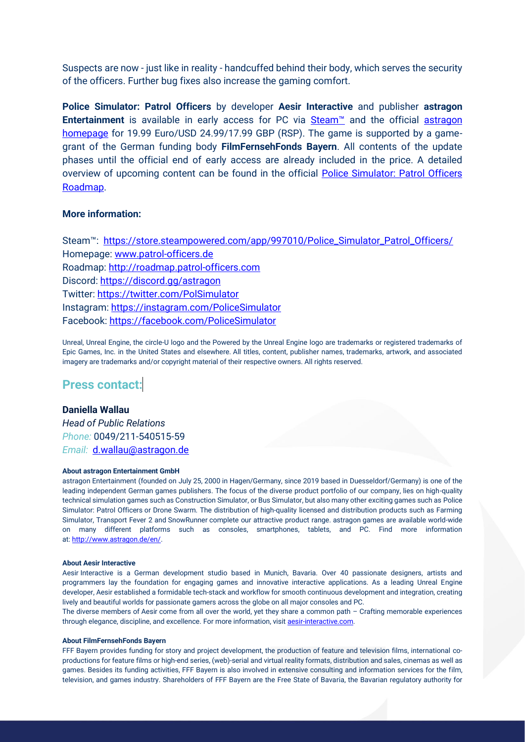Suspects are now - just like in reality - handcuffed behind their body, which serves the security of the officers. Further bug fixes also increase the gaming comfort.

**Police Simulator: Patrol Officers** by developer **Aesir Interactive** and publisher **astragon Entertainment** is available in early access for PC via **[Steam™](https://store.steampowered.com/app/997010/Police_Simulator_Patrol_Officers/)** and the official astragon [homepage](https://www.astragon.com/police-simulator-patrol-officers?tx_lnsgames_gamesplugin%5Baction%5D=show&tx_lnsgames_gamesplugin%5Bcontroller%5D=Game&tx_lnsgames_gamesplugin%5Bgame%5D=1123&cHash=6659bfa0478a762811cb0d4fc3f01a99) for 19.99 Euro/USD 24.99/17.99 GBP (RSP). The game is supported by a gamegrant of the German funding body **FilmFernsehFonds Bayern**. All contents of the update phases until the official end of early access are already included in the price. A detailed overview of upcoming content can be found in the official [Police Simulator: Patrol Officers](http://roadmap.patrol-officers.com/)  [Roadmap.](http://roadmap.patrol-officers.com/)

### **More information:**

Steam™: https://store.steampowered.com/app/997010/Police\_Simulator\_Patrol\_Officers/ Homepage: [www.patrol-officers.de](http://www.patrol-officers.de/) Roadmap: [http://roadmap.patrol-officers.com](http://roadmap.patrol-officers.com/) Discord:<https://discord.gg/astragon> Twitter:<https://twitter.com/PolSimulator> Instagram:<https://instagram.com/PoliceSimulator> Facebook:<https://facebook.com/PoliceSimulator>

Unreal, Unreal Engine, the circle-U logo and the Powered by the Unreal Engine logo are trademarks or registered trademarks of Epic Games, Inc. in the United States and elsewhere. All titles, content, publisher names, trademarks, artwork, and associated imagery are trademarks and/or copyright material of their respective owners. All rights reserved.

# **Press contact:**

## **Daniella Wallau**

*Head of Public Relations Phone:* 0049/211-540515-59 *Email:* [d.wallau@astragon.de](mailto:d.wallau@astragon.de)

#### **About astragon Entertainment GmbH**

astragon Entertainment (founded on July 25, 2000 in Hagen/Germany, since 2019 based in Duesseldorf/Germany) is one of the leading independent German games publishers. The focus of the diverse product portfolio of our company, lies on high-quality technical simulation games such as Construction Simulator, or Bus Simulator, but also many other exciting games such as Police Simulator: Patrol Officers or Drone Swarm. The distribution of high-quality licensed and distribution products such as Farming Simulator, Transport Fever 2 and SnowRunner complete our attractive product range. astragon games are available world-wide on many different platforms such as consoles, smartphones, tablets, and PC. Find more information at: [http://www.astragon.de/en/.](http://www.astragon.de/en/)

#### **About Aesir Interactive**

Aesir Interactive is a German development studio based in Munich, Bavaria. Over 40 passionate designers, artists and programmers lay the foundation for engaging games and innovative interactive applications. As a leading Unreal Engine developer, Aesir established a formidable tech-stack and workflow for smooth continuous development and integration, creating lively and beautiful worlds for passionate gamers across the globe on all major consoles and PC.  

The diverse members of Aesir come from all over the world, yet they share a common path – Crafting memorable experiences through elegance, discipline, and excellence. For more information, visit [aesir-interactive.com.](https://aesir-interactive.com/)

#### **About FilmFernsehFonds Bayern**

FFF Bayern provides funding for story and project development, the production of feature and television films, international coproductions for feature films or high-end series, (web)-serial and virtual reality formats, distribution and sales, cinemas as well as games. Besides its funding activities, FFF Bayern is also involved in extensive consulting and information services for the film, television, and games industry. Shareholders of FFF Bayern are the Free State of Bavaria, the Bavarian regulatory authority for